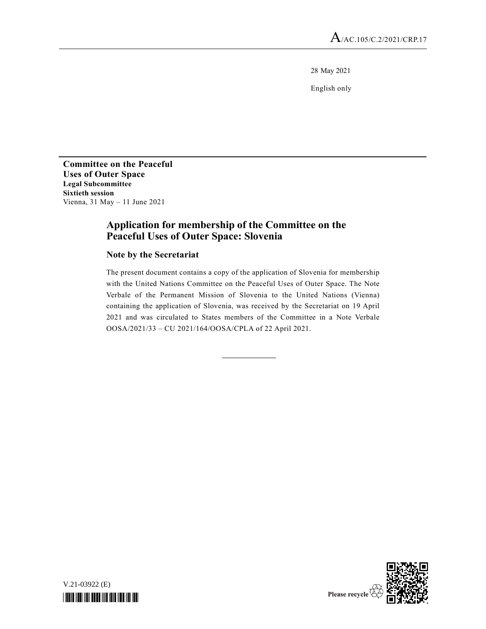28 May 2021

English only

**Committee on the Peaceful Uses of Outer Space Legal Subcommittee Sixtieth session**  Vienna, 31 May – 11 June 2021

## **Application for membership of the Committee on the Peaceful Uses of Outer Space: Slovenia**

## **Note by the Secretariat**

The present document contains a copy of the application of Slovenia for membership with the United Nations Committee on the Peaceful Uses of Outer Space. The Note Verbale of the Permanent Mission of Slovenia to the United Nations (Vienna) containing the application of Slovenia, was received by the Secretariat on 19 April 2021 and was circulated to States members of the Committee in a Note Verbale OOSA/2021/33 – CU 2021/164/OOSA/CPLA of 22 April 2021.



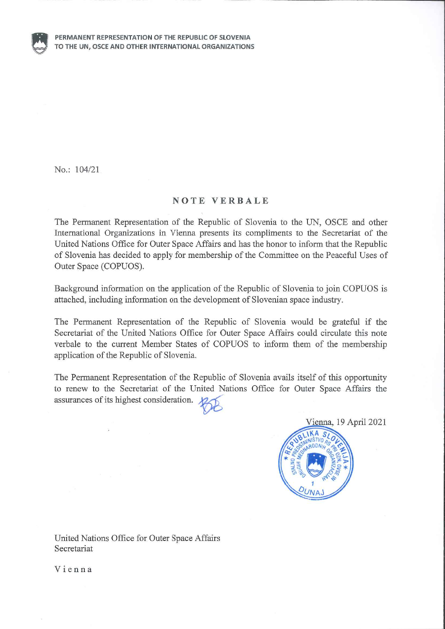

No.: 104/21

## **NOTE VERBALE**

The Permanent Representation of the Republic of Slovenia to the UN, OSCE and other International Organizations in Vienna presents its compliments to the Secretariat of the United Nations Office for Outer Space Affairs and has the honor to inform that the Republic of Slovenia has decided to apply for membership of the Committee on the Peaceful Uses of Outer Space (COPUOS).

Background information on the application of the Republic of Slovenia to join COPUOS is attached, including information on the development of Slovenian space industry.

The Permanent Representation of the Republic of Slovenia would be grateful if the Secretariat of the United Nations Office for Outer Space Affairs could circulate this note verbale to the current Member States of COPUOS to inform them of the membership application of the Republic of Slovenia.

The Permanent Representation of the Republic of Slovenia avails itself of this opportunity to renew to the Secretariat of the United Nations Office for Outer Space Affairs the assurances of its highest consideration.





United Nations Office for Outer Space Affairs Secretariat

Vienna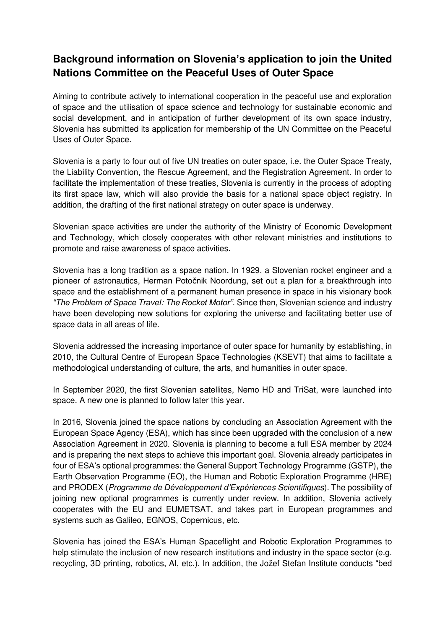## **Background information on Slovenia's application to join the United Nations Committee on the Peaceful Uses of Outer Space**

Aiming to contribute actively to international cooperation in the peaceful use and exploration of space and the utilisation of space science and technology for sustainable economic and social development, and in anticipation of further development of its own space industry, Slovenia has submitted its application for membership of the UN Committee on the Peaceful Uses of Outer Space.

Slovenia is a party to four out of five UN treaties on outer space, i.e. the Outer Space Treaty, the Liability Convention, the Rescue Agreement, and the Registration Agreement. In order to facilitate the implementation of these treaties, Slovenia is currently in the process of adopting its first space law, which will also provide the basis for a national space object registry. In addition, the drafting of the first national strategy on outer space is underway.

Slovenian space activities are under the authority of the Ministry of Economic Development and Technology, which closely cooperates with other relevant ministries and institutions to promote and raise awareness of space activities.

Slovenia has a long tradition as a space nation. In 1929, a Slovenian rocket engineer and a pioneer of astronautics, Herman Potočnik Noordung, set out a plan for a breakthrough into space and the establishment of a permanent human presence in space in his visionary book *"The Problem of Space Travel*: The *Rocket Motor"*. Since then, Slovenian science and industry have been developing new solutions for exploring the universe and facilitating better use of space data in all areas of life.

Slovenia addressed the increasing importance of outer space for humanity by establishing, in 2010, the Cultural Centre of European Space Technologies (KSEVT) that aims to facilitate a methodological understanding of culture, the arts, and humanities in outer space.

In September 2020, the first Slovenian satellites, Nemo HD and TriSat, were launched into space. A new one is planned to follow later this year.

In 2016, Slovenia joined the space nations by concluding an Association Agreement with the European Space Agency (ESA), which has since been upgraded with the conclusion of a new Association Agreement in 2020. Slovenia is planning to become a full ESA member by 2024 and is preparing the next steps to achieve this important goal. Slovenia already participates in four of ESA's optional programmes: the General Support Technology Programme (GSTP), the Earth Observation Programme (EO), the Human and Robotic Exploration Programme (HRE) and PRODEX (Pro*gramme de Développement d'Expérience*s Scientifiques). The possibility of joining new optional programmes is currently under review. In addition, Slovenia actively cooperates with the EU and EUMETSAT, and takes part in European programmes and systems such as Galileo, EGNOS, Copernicus, etc.

Slovenia has joined the ESA's Human Spaceflight and Robotic Exploration Programmes to help stimulate the inclusion of new research institutions and industry in the space sector (e.g. recycling, 3D printing, robotics, AI, etc.). In addition, the Jožef Stefan Institute conducts "bed